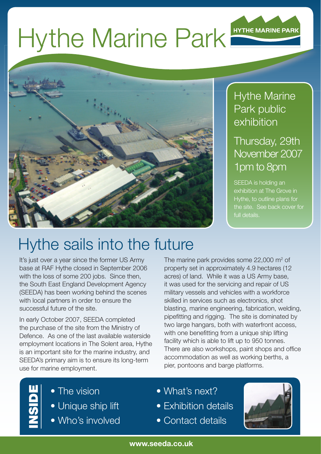# Hythe Marine Park **HYTHE MARINE PARK**



#### Hythe Marine Park public exhibition

#### Thursday, 29th November 2007 1pm to 8pm

SEEDA is holding an exhibition at The Grove in Hythe, to outline plans for the site. See back cover for full details.

## Hythe sails into the future

It's just over a year since the former US Army base at RAF Hythe closed in September 2006 with the loss of some 200 jobs. Since then, the South East England Development Agency (SEEDA) has been working behind the scenes with local partners in order to ensure the successful future of the site.

In early October 2007, SEEDA completed the purchase of the site from the Ministry of Defence. As one of the last available waterside employment locations in The Solent area, Hythe is an important site for the marine industry, and SEEDA's primary aim is to ensure its long-term use for marine employment.

The marine park provides some  $22,000$  m<sup>2</sup> of property set in approximately 4.9 hectares (12 acres) of land. While it was a US Army base, it was used for the servicing and repair of US military vessels and vehicles with a workforce skilled in services such as electronics, shot blasting, marine engineering, fabrication, welding, pipefitting and rigging. The site is dominated by two large hangars, both with waterfront access, with one benefitting from a unique ship lifting facility which is able to lift up to 950 tonnes. There are also workshops, paint shops and office accommodation as well as working berths, a pier, pontoons and barge platforms.

- INSIDE
- The vision
- Unique ship lift
- Who's involved
- What's next?
- Exhibition details
- Contact details

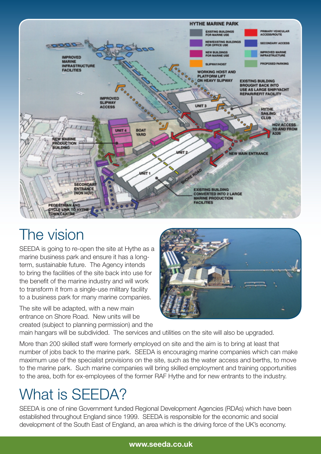

### The vision

SEEDA is going to re-open the site at Hythe as a marine business park and ensure it has a longterm, sustainable future. The Agency intends to bring the facilities of the site back into use for the benefit of the marine industry and will work to transform it from a single-use military facility to a business park for many marine companies.

The site will be adapted, with a new main entrance on Shore Road. New units will be created (subject to planning permission) and the



main hangars will be subdivided. The services and utilities on the site will also be upgraded.

More than 200 skilled staff were formerly employed on site and the aim is to bring at least that number of jobs back to the marine park. SEEDA is encouraging marine companies which can make maximum use of the specialist provisions on the site, such as the water access and berths, to move to the marine park. Such marine companies will bring skilled employment and training opportunities to the area, both for ex-employees of the former RAF Hythe and for new entrants to the industry.

#### What is SEEDA?

SEEDA is one of nine Government funded Regional Development Agencies (RDAs) which have been established throughout England since 1999. SEEDA is responsible for the economic and social development of the South East of England, an area which is the driving force of the UK's economy.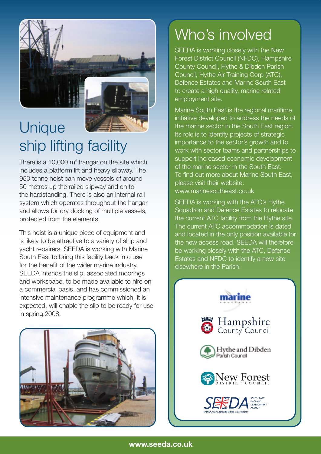

### Unique ship lifting facility

There is a 10,000  $m^2$  hangar on the site which includes a platform lift and heavy slipway. The 950 tonne hoist can move vessels of around 50 metres up the railed slipway and on to the hardstanding. There is also an internal rail system which operates throughout the hangar and allows for dry docking of multiple vessels, protected from the elements.

This hoist is a unique piece of equipment and is likely to be attractive to a variety of ship and yacht repairers. SEEDA is working with Marine South East to bring this facility back into use for the benefit of the wider marine industry. SEEDA intends the slip, associated moorings and workspace, to be made available to hire on a commercial basis, and has commissioned an intensive maintenance programme which, it is expected, will enable the slip to be ready for use in spring 2008.



#### Who's involved

SEEDA is working closely with the New Forest District Council (NFDC), Hampshire County Council, Hythe & Dibden Parish Council, Hythe Air Training Corp (ATC), Defence Estates and Marine South East to create a high quality, marine related employment site.

Marine South East is the regional maritime initiative developed to address the needs of the marine sector in the South East region. Its role is to identify projects of strategic importance to the sector's growth and to work with sector teams and partnerships to support increased economic development of the marine sector in the South East. To find out more about Marine South East, please visit their website: www.marinesoutheast.co.uk

SEEDA is working with the ATC's Hythe Squadron and Defence Estates to relocate the current ATC facility from the Hythe site. The current ATC accommodation is dated and located in the only position available for the new access road. SEEDA will therefore be working closely with the ATC, Defence Estates and NFDC to identify a new site elsewhere in the Parish.